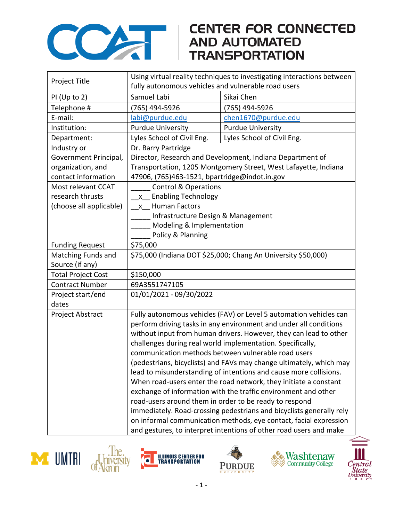

## **CENTER FOR CONNECTED**

| Project Title             | Using virtual reality techniques to investigating interactions between |                            |  |
|---------------------------|------------------------------------------------------------------------|----------------------------|--|
|                           | fully autonomous vehicles and vulnerable road users                    |                            |  |
| $PI$ (Up to 2)            | Samuel Labi                                                            | Sikai Chen                 |  |
| Telephone #               | 765) 494-5926                                                          | (765) 494-5926             |  |
| E-mail:                   | labi@purdue.edu                                                        | chen1670@purdue.edu        |  |
| Institution:              | <b>Purdue University</b>                                               | <b>Purdue University</b>   |  |
| Department:               | Lyles School of Civil Eng.                                             | Lyles School of Civil Eng. |  |
| Industry or               | Dr. Barry Partridge                                                    |                            |  |
| Government Principal,     | Director, Research and Development, Indiana Department of              |                            |  |
| organization, and         | Transportation, 1205 Montgomery Street, West Lafayette, Indiana        |                            |  |
| contact information       | 47906, (765)463-1521, bpartridge@indot.in.gov                          |                            |  |
| Most relevant CCAT        | <b>Control &amp; Operations</b>                                        |                            |  |
| research thrusts          | x Enabling Technology                                                  |                            |  |
| (choose all applicable)   | x Human Factors                                                        |                            |  |
|                           | Infrastructure Design & Management                                     |                            |  |
|                           | Modeling & Implementation                                              |                            |  |
|                           | Policy & Planning                                                      |                            |  |
| <b>Funding Request</b>    | \$75,000                                                               |                            |  |
| Matching Funds and        | \$75,000 (Indiana DOT \$25,000; Chang An University \$50,000)          |                            |  |
| Source (if any)           |                                                                        |                            |  |
| <b>Total Project Cost</b> | \$150,000                                                              |                            |  |
| <b>Contract Number</b>    | 69A3551747105                                                          |                            |  |
| Project start/end         | 01/01/2021 - 09/30/2022                                                |                            |  |
| dates                     |                                                                        |                            |  |
| Project Abstract          | Fully autonomous vehicles (FAV) or Level 5 automation vehicles can     |                            |  |
|                           | perform driving tasks in any environment and under all conditions      |                            |  |
|                           | without input from human drivers. However, they can lead to other      |                            |  |
|                           | challenges during real world implementation. Specifically,             |                            |  |
|                           | communication methods between vulnerable road users                    |                            |  |
|                           | (pedestrians, bicyclists) and FAVs may change ultimately, which may    |                            |  |
|                           | lead to misunderstanding of intentions and cause more collisions.      |                            |  |
|                           | When road-users enter the road network, they initiate a constant       |                            |  |
|                           | exchange of information with the traffic environment and other         |                            |  |
|                           | road-users around them in order to be ready to respond                 |                            |  |
|                           | immediately. Road-crossing pedestrians and bicyclists generally rely   |                            |  |
|                           | on informal communication methods, eye contact, facial expression      |                            |  |
|                           | and gestures, to interpret intentions of other road users and make     |                            |  |